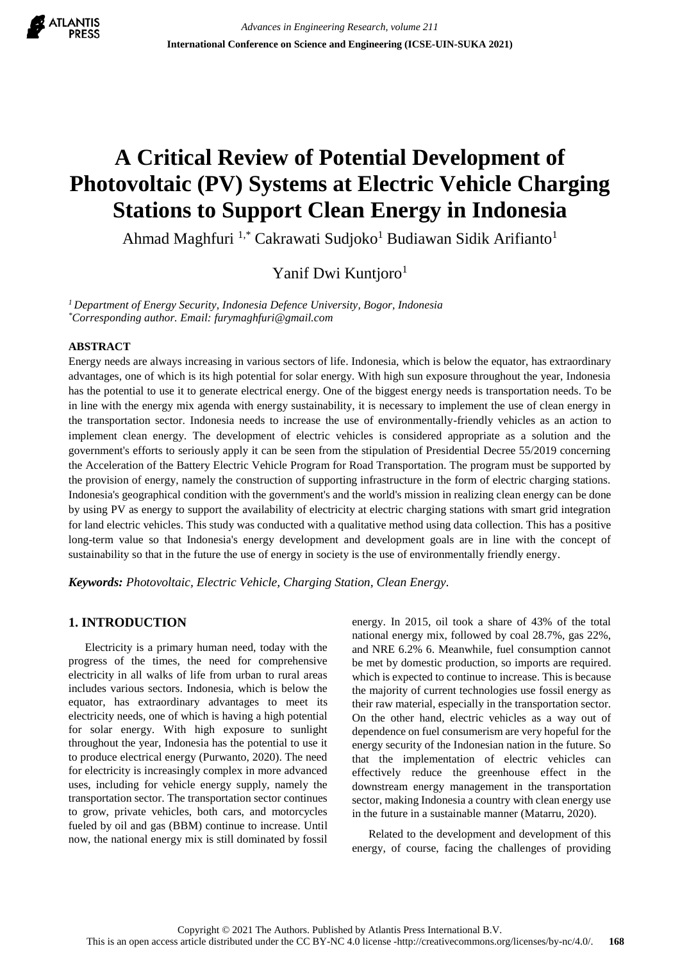

# **A Critical Review of Potential Development of Photovoltaic (PV) Systems at Electric Vehicle Charging Stations to Support Clean Energy in Indonesia**

Ahmad Maghfuri <sup>1,\*</sup> Cakrawati Sudjoko<sup>1</sup> Budiawan Sidik Arifianto<sup>1</sup>

Yanif Dwi Kuntjoro<sup>1</sup>

*<sup>1</sup>Department of Energy Security, Indonesia Defence University, Bogor, Indonesia \*Corresponding author. Email: furymaghfuri@gmail.com*

#### **ABSTRACT**

Energy needs are always increasing in various sectors of life. Indonesia, which is below the equator, has extraordinary advantages, one of which is its high potential for solar energy. With high sun exposure throughout the year, Indonesia has the potential to use it to generate electrical energy. One of the biggest energy needs is transportation needs. To be in line with the energy mix agenda with energy sustainability, it is necessary to implement the use of clean energy in the transportation sector. Indonesia needs to increase the use of environmentally-friendly vehicles as an action to implement clean energy. The development of electric vehicles is considered appropriate as a solution and the government's efforts to seriously apply it can be seen from the stipulation of Presidential Decree 55/2019 concerning the Acceleration of the Battery Electric Vehicle Program for Road Transportation. The program must be supported by the provision of energy, namely the construction of supporting infrastructure in the form of electric charging stations. Indonesia's geographical condition with the government's and the world's mission in realizing clean energy can be done by using PV as energy to support the availability of electricity at electric charging stations with smart grid integration for land electric vehicles. This study was conducted with a qualitative method using data collection. This has a positive long-term value so that Indonesia's energy development and development goals are in line with the concept of sustainability so that in the future the use of energy in society is the use of environmentally friendly energy.

*Keywords: Photovoltaic, Electric Vehicle, Charging Station, Clean Energy.*

# **1. INTRODUCTION**

Electricity is a primary human need, today with the progress of the times, the need for comprehensive electricity in all walks of life from urban to rural areas includes various sectors. Indonesia, which is below the equator, has extraordinary advantages to meet its electricity needs, one of which is having a high potential for solar energy. With high exposure to sunlight throughout the year, Indonesia has the potential to use it to produce electrical energy (Purwanto, 2020). The need for electricity is increasingly complex in more advanced uses, including for vehicle energy supply, namely the transportation sector. The transportation sector continues to grow, private vehicles, both cars, and motorcycles fueled by oil and gas (BBM) continue to increase. Until now, the national energy mix is still dominated by fossil energy. In 2015, oil took a share of 43% of the total national energy mix, followed by coal 28.7%, gas 22%, and NRE 6.2% 6. Meanwhile, fuel consumption cannot be met by domestic production, so imports are required. which is expected to continue to increase. This is because the majority of current technologies use fossil energy as their raw material, especially in the transportation sector. On the other hand, electric vehicles as a way out of dependence on fuel consumerism are very hopeful for the energy security of the Indonesian nation in the future. So that the implementation of electric vehicles can effectively reduce the greenhouse effect in the downstream energy management in the transportation sector, making Indonesia a country with clean energy use in the future in a sustainable manner (Matarru, 2020).

Related to the development and development of this energy, of course, facing the challenges of providing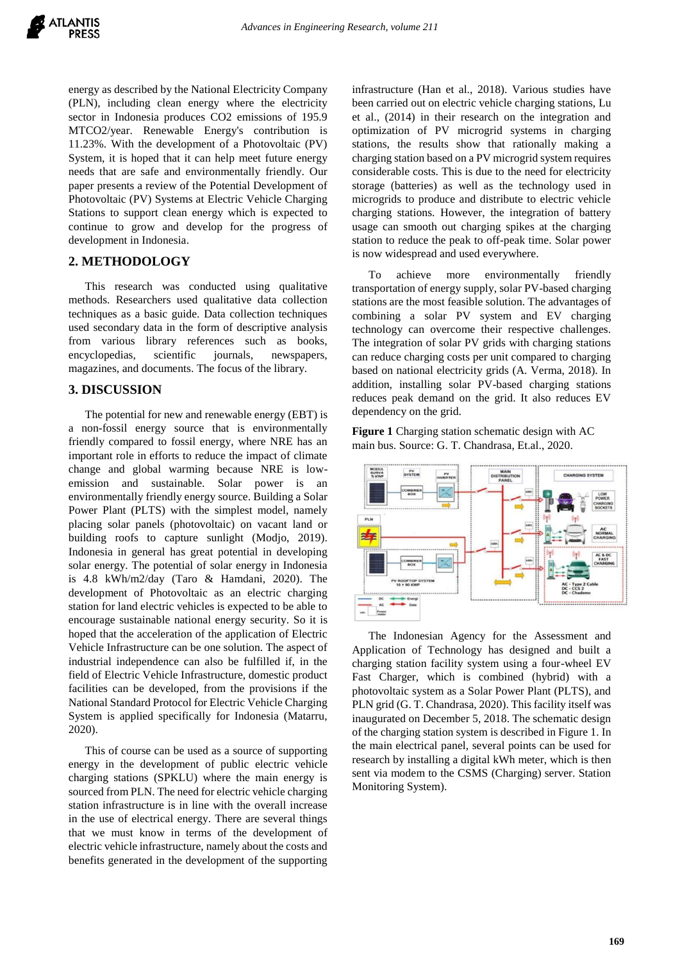energy as described by the National Electricity Company (PLN), including clean energy where the electricity sector in Indonesia produces CO2 emissions of 195.9 MTCO2/year. Renewable Energy's contribution is 11.23%. With the development of a Photovoltaic (PV) System, it is hoped that it can help meet future energy needs that are safe and environmentally friendly. Our paper presents a review of the Potential Development of Photovoltaic (PV) Systems at Electric Vehicle Charging Stations to support clean energy which is expected to continue to grow and develop for the progress of development in Indonesia.

#### **2. METHODOLOGY**

This research was conducted using qualitative methods. Researchers used qualitative data collection techniques as a basic guide. Data collection techniques used secondary data in the form of descriptive analysis from various library references such as books, encyclopedias, scientific journals, newspapers, magazines, and documents. The focus of the library.

#### **3. DISCUSSION**

The potential for new and renewable energy (EBT) is a non-fossil energy source that is environmentally friendly compared to fossil energy, where NRE has an important role in efforts to reduce the impact of climate change and global warming because NRE is lowemission and sustainable. Solar power is an environmentally friendly energy source. Building a Solar Power Plant (PLTS) with the simplest model, namely placing solar panels (photovoltaic) on vacant land or building roofs to capture sunlight (Modjo, 2019). Indonesia in general has great potential in developing solar energy. The potential of solar energy in Indonesia is 4.8 kWh/m2/day (Taro & Hamdani, 2020). The development of Photovoltaic as an electric charging station for land electric vehicles is expected to be able to encourage sustainable national energy security. So it is hoped that the acceleration of the application of Electric Vehicle Infrastructure can be one solution. The aspect of industrial independence can also be fulfilled if, in the field of Electric Vehicle Infrastructure, domestic product facilities can be developed, from the provisions if the National Standard Protocol for Electric Vehicle Charging System is applied specifically for Indonesia (Matarru, 2020).

This of course can be used as a source of supporting energy in the development of public electric vehicle charging stations (SPKLU) where the main energy is sourced from PLN. The need for electric vehicle charging station infrastructure is in line with the overall increase in the use of electrical energy. There are several things that we must know in terms of the development of electric vehicle infrastructure, namely about the costs and benefits generated in the development of the supporting infrastructure (Han et al., 2018). Various studies have been carried out on electric vehicle charging stations, Lu et al., (2014) in their research on the integration and optimization of PV microgrid systems in charging stations, the results show that rationally making a charging station based on a PV microgrid system requires considerable costs. This is due to the need for electricity storage (batteries) as well as the technology used in microgrids to produce and distribute to electric vehicle charging stations. However, the integration of battery usage can smooth out charging spikes at the charging station to reduce the peak to off-peak time. Solar power is now widespread and used everywhere.

To achieve more environmentally friendly transportation of energy supply, solar PV-based charging stations are the most feasible solution. The advantages of combining a solar PV system and EV charging technology can overcome their respective challenges. The integration of solar PV grids with charging stations can reduce charging costs per unit compared to charging based on national electricity grids (A. Verma, 2018). In addition, installing solar PV-based charging stations reduces peak demand on the grid. It also reduces EV dependency on the grid.

**Figure 1** Charging station schematic design with AC main bus. Source: G. T. Chandrasa, Et.al., 2020.



The Indonesian Agency for the Assessment and Application of Technology has designed and built a charging station facility system using a four-wheel EV Fast Charger, which is combined (hybrid) with a photovoltaic system as a Solar Power Plant (PLTS), and PLN grid (G. T. Chandrasa, 2020). This facility itself was inaugurated on December 5, 2018. The schematic design of the charging station system is described in Figure 1. In the main electrical panel, several points can be used for research by installing a digital kWh meter, which is then sent via modem to the CSMS (Charging) server. Station Monitoring System).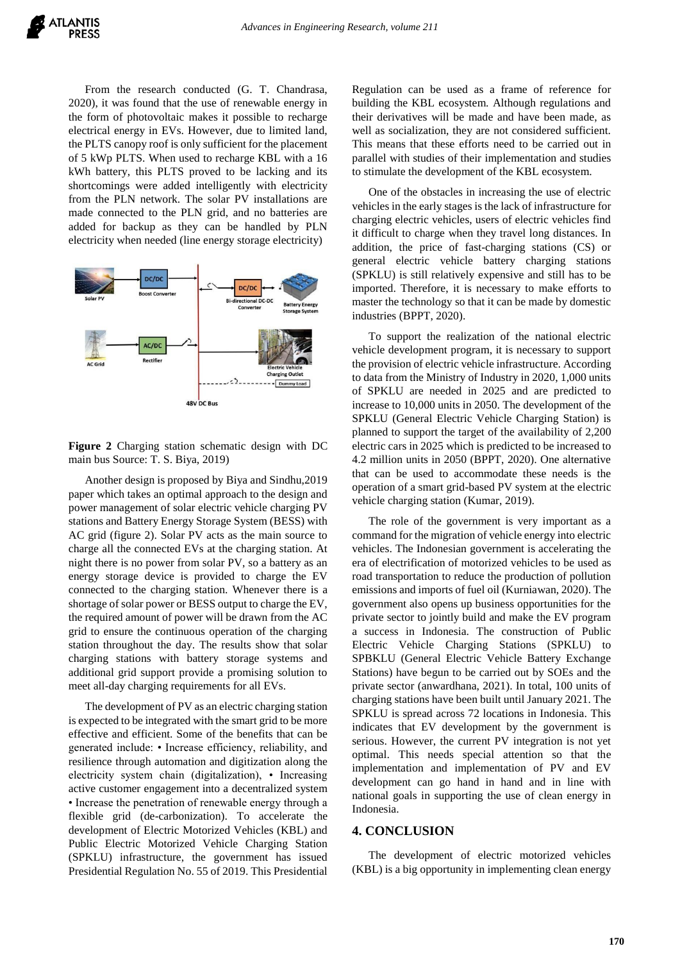From the research conducted (G. T. Chandrasa, 2020), it was found that the use of renewable energy in the form of photovoltaic makes it possible to recharge electrical energy in EVs. However, due to limited land, the PLTS canopy roof is only sufficient for the placement of 5 kWp PLTS. When used to recharge KBL with a 16 kWh battery, this PLTS proved to be lacking and its shortcomings were added intelligently with electricity from the PLN network. The solar PV installations are made connected to the PLN grid, and no batteries are added for backup as they can be handled by PLN electricity when needed (line energy storage electricity)



**Figure 2** Charging station schematic design with DC main bus Source: T. S. Biya, 2019)

Another design is proposed by Biya and Sindhu,2019 paper which takes an optimal approach to the design and power management of solar electric vehicle charging PV stations and Battery Energy Storage System (BESS) with AC grid (figure 2). Solar PV acts as the main source to charge all the connected EVs at the charging station. At night there is no power from solar PV, so a battery as an energy storage device is provided to charge the EV connected to the charging station. Whenever there is a shortage of solar power or BESS output to charge the EV, the required amount of power will be drawn from the AC grid to ensure the continuous operation of the charging station throughout the day. The results show that solar charging stations with battery storage systems and additional grid support provide a promising solution to meet all-day charging requirements for all EVs.

The development of PV as an electric charging station is expected to be integrated with the smart grid to be more effective and efficient. Some of the benefits that can be generated include: • Increase efficiency, reliability, and resilience through automation and digitization along the electricity system chain (digitalization), • Increasing active customer engagement into a decentralized system • Increase the penetration of renewable energy through a flexible grid (de-carbonization). To accelerate the development of Electric Motorized Vehicles (KBL) and Public Electric Motorized Vehicle Charging Station (SPKLU) infrastructure, the government has issued Presidential Regulation No. 55 of 2019. This Presidential

Regulation can be used as a frame of reference for building the KBL ecosystem. Although regulations and their derivatives will be made and have been made, as well as socialization, they are not considered sufficient. This means that these efforts need to be carried out in parallel with studies of their implementation and studies to stimulate the development of the KBL ecosystem.

One of the obstacles in increasing the use of electric vehicles in the early stages is the lack of infrastructure for charging electric vehicles, users of electric vehicles find it difficult to charge when they travel long distances. In addition, the price of fast-charging stations (CS) or general electric vehicle battery charging stations (SPKLU) is still relatively expensive and still has to be imported. Therefore, it is necessary to make efforts to master the technology so that it can be made by domestic industries (BPPT, 2020).

To support the realization of the national electric vehicle development program, it is necessary to support the provision of electric vehicle infrastructure. According to data from the Ministry of Industry in 2020, 1,000 units of SPKLU are needed in 2025 and are predicted to increase to 10,000 units in 2050. The development of the SPKLU (General Electric Vehicle Charging Station) is planned to support the target of the availability of 2,200 electric cars in 2025 which is predicted to be increased to 4.2 million units in 2050 (BPPT, 2020). One alternative that can be used to accommodate these needs is the operation of a smart grid-based PV system at the electric vehicle charging station (Kumar, 2019).

The role of the government is very important as a command for the migration of vehicle energy into electric vehicles. The Indonesian government is accelerating the era of electrification of motorized vehicles to be used as road transportation to reduce the production of pollution emissions and imports of fuel oil (Kurniawan, 2020). The government also opens up business opportunities for the private sector to jointly build and make the EV program a success in Indonesia. The construction of Public Electric Vehicle Charging Stations (SPKLU) to SPBKLU (General Electric Vehicle Battery Exchange Stations) have begun to be carried out by SOEs and the private sector (anwardhana, 2021). In total, 100 units of charging stations have been built until January 2021. The SPKLU is spread across 72 locations in Indonesia. This indicates that EV development by the government is serious. However, the current PV integration is not yet optimal. This needs special attention so that the implementation and implementation of PV and EV development can go hand in hand and in line with national goals in supporting the use of clean energy in Indonesia.

## **4. CONCLUSION**

The development of electric motorized vehicles (KBL) is a big opportunity in implementing clean energy